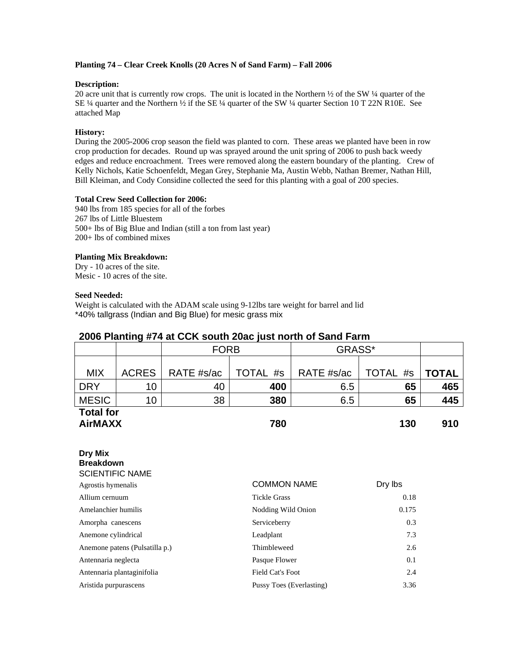#### **Planting 74 – Clear Creek Knolls (20 Acres N of Sand Farm) – Fall 2006**

#### **Description:**

20 acre unit that is currently row crops. The unit is located in the Northern  $\frac{1}{2}$  of the SW  $\frac{1}{4}$  quarter of the SE ¼ quarter and the Northern ½ if the SE ¼ quarter of the SW ¼ quarter Section 10 T 22N R10E. See attached Map

#### **History:**

During the 2005-2006 crop season the field was planted to corn. These areas we planted have been in row crop production for decades. Round up was sprayed around the unit spring of 2006 to push back weedy edges and reduce encroachment. Trees were removed along the eastern boundary of the planting. Crew of Kelly Nichols, Katie Schoenfeldt, Megan Grey, Stephanie Ma, Austin Webb, Nathan Bremer, Nathan Hill, Bill Kleiman, and Cody Considine collected the seed for this planting with a goal of 200 species.

#### **Total Crew Seed Collection for 2006:**

940 lbs from 185 species for all of the forbes 267 lbs of Little Bluestem 500+ lbs of Big Blue and Indian (still a ton from last year) 200+ lbs of combined mixes

#### **Planting Mix Breakdown:**

Dry - 10 acres of the site. Mesic - 10 acres of the site.

#### **Seed Needed:**

Weight is calculated with the ADAM scale using 9-12lbs tare weight for barrel and lid \*40% tallgrass (Indian and Big Blue) for mesic grass mix

| 2000 Flanning #74 at GGN SOUth 20aC JUSt HONIT OF Sand Family |                                |             |                          |            |                    |       |  |  |  |
|---------------------------------------------------------------|--------------------------------|-------------|--------------------------|------------|--------------------|-------|--|--|--|
|                                                               |                                | <b>FORB</b> | GRASS*                   |            |                    |       |  |  |  |
|                                                               |                                |             |                          |            |                    |       |  |  |  |
| <b>MIX</b>                                                    | <b>ACRES</b>                   | RATE #s/ac  | TOTAL #s                 | RATE #s/ac | <b>TOTAL</b><br>#s | TOTAL |  |  |  |
| <b>DRY</b>                                                    | 10                             | 40          | 400                      | 6.5        | 65                 | 465   |  |  |  |
| <b>MESIC</b>                                                  | 10                             | 38          | 380                      | 6.5        | 65                 | 445   |  |  |  |
| <b>Total for</b><br><b>AirMAXX</b><br>780                     |                                |             |                          |            | 910                |       |  |  |  |
| Dry Mix<br><b>Breakdown</b><br><b>SCIENTIFIC NAME</b>         |                                |             |                          |            |                    |       |  |  |  |
| Agrostis hymenalis                                            |                                |             | <b>COMMON NAME</b>       |            | Dry lbs            |       |  |  |  |
| Allium cernuum                                                |                                |             | <b>Tickle Grass</b>      |            | 0.18               |       |  |  |  |
| Amelanchier humilis                                           |                                |             | Nodding Wild Onion       |            | 0.175              |       |  |  |  |
| Amorpha canescens                                             |                                |             | Serviceberry             |            | 0.3                |       |  |  |  |
| Anemone cylindrical                                           |                                |             | Leadplant                |            | 7.3                |       |  |  |  |
|                                                               | Anemone patens (Pulsatilla p.) |             | Thimbleweed              |            | 2.6                |       |  |  |  |
| Antennaria neglecta                                           |                                |             | Pasque Flower            |            | 0.1                |       |  |  |  |
|                                                               | Antennaria plantaginifolia     |             | <b>Field Cat's Foot</b>  |            | 2.4                |       |  |  |  |
| Aristida purpurascens                                         |                                |             | Pussy Toes (Everlasting) |            | 3.36               |       |  |  |  |

# **2006 Planting #74 at CCK south 20ac just north of Sand Farm**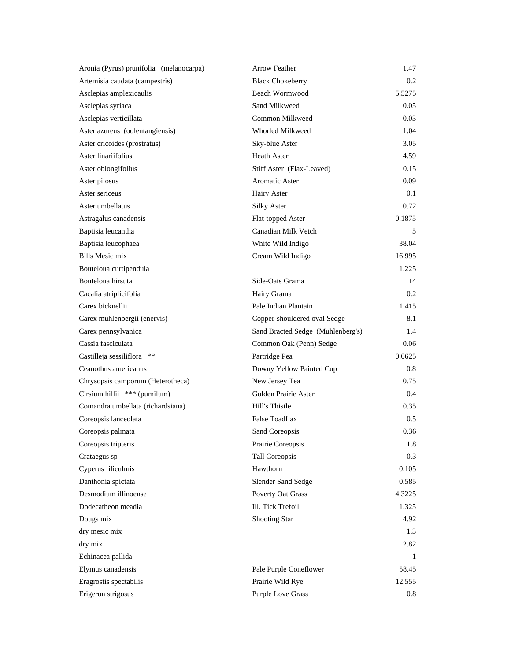| Aronia (Pyrus) prunifolia (melanocarpa) | <b>Arrow Feather</b>              | 1.47   |
|-----------------------------------------|-----------------------------------|--------|
| Artemisia caudata (campestris)          | <b>Black Chokeberry</b>           | 0.2    |
| Asclepias amplexicaulis                 | Beach Wormwood                    | 5.5275 |
| Asclepias syriaca                       | Sand Milkweed                     | 0.05   |
| Asclepias verticillata                  | Common Milkweed                   | 0.03   |
| Aster azureus (oolentangiensis)         | Whorled Milkweed                  | 1.04   |
| Aster ericoides (prostratus)            | Sky-blue Aster                    | 3.05   |
| Aster linariifolius                     | <b>Heath Aster</b>                | 4.59   |
| Aster oblongifolius                     | Stiff Aster (Flax-Leaved)         | 0.15   |
| Aster pilosus                           | <b>Aromatic Aster</b>             | 0.09   |
| Aster sericeus                          | Hairy Aster                       | 0.1    |
| Aster umbellatus                        | <b>Silky Aster</b>                | 0.72   |
| Astragalus canadensis                   | Flat-topped Aster                 | 0.1875 |
| Baptisia leucantha                      | Canadian Milk Vetch               | 5      |
| Baptisia leucophaea                     | White Wild Indigo                 | 38.04  |
| <b>Bills Mesic mix</b>                  | Cream Wild Indigo                 | 16.995 |
| Bouteloua curtipendula                  |                                   | 1.225  |
| Bouteloua hirsuta                       | Side-Oats Grama                   | 14     |
| Cacalia atriplicifolia                  | Hairy Grama                       | 0.2    |
| Carex bicknellii                        | Pale Indian Plantain              | 1.415  |
| Carex muhlenbergii (enervis)            | Copper-shouldered oval Sedge      | 8.1    |
| Carex pennsylvanica                     | Sand Bracted Sedge (Muhlenberg's) | 1.4    |
| Cassia fasciculata                      | Common Oak (Penn) Sedge           | 0.06   |
| Castilleja sessiliflora **              | Partridge Pea                     | 0.0625 |
| Ceanothus americanus                    | Downy Yellow Painted Cup          | 0.8    |
| Chrysopsis camporum (Heterotheca)       | New Jersey Tea                    | 0.75   |
| Cirsium hillii *** (pumilum)            | Golden Prairie Aster              | 0.4    |
| Comandra umbellata (richardsiana)       | Hill's Thistle                    | 0.35   |
| Coreopsis lanceolata                    | <b>False Toadflax</b>             | 0.5    |
| Coreopsis palmata                       | Sand Coreopsis                    | 0.36   |
| Coreopsis tripteris                     | Prairie Coreopsis                 | 1.8    |
| Crataegus sp                            | <b>Tall Coreopsis</b>             | 0.3    |
| Cyperus filiculmis                      | Hawthorn                          | 0.105  |
| Danthonia spictata                      | Slender Sand Sedge                | 0.585  |
| Desmodium illinoense                    | Poverty Oat Grass                 | 4.3225 |
| Dodecatheon meadia                      | Ill. Tick Trefoil                 | 1.325  |
| Dougs mix                               | Shooting Star                     | 4.92   |
| dry mesic mix                           |                                   | 1.3    |
| dry mix                                 |                                   | 2.82   |
| Echinacea pallida                       |                                   | 1      |
| Elymus canadensis                       | Pale Purple Coneflower            | 58.45  |
| Eragrostis spectabilis                  | Prairie Wild Rye                  | 12.555 |
| Erigeron strigosus                      | <b>Purple Love Grass</b>          | 0.8    |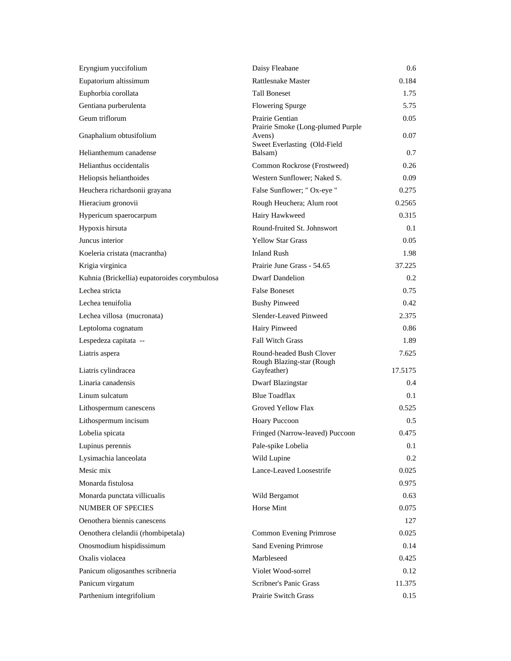| Eryngium yuccifolium                         | Daisy Fleabane                                                              | 0.6           |
|----------------------------------------------|-----------------------------------------------------------------------------|---------------|
| Eupatorium altissimum                        | <b>Rattlesnake Master</b>                                                   | 0.184         |
| Euphorbia corollata                          | <b>Tall Boneset</b>                                                         | 1.75          |
| Gentiana purberulenta                        | <b>Flowering Spurge</b>                                                     | 5.75          |
| Geum triflorum                               | Prairie Gentian                                                             | 0.05          |
| Gnaphalium obtusifolium                      | Prairie Smoke (Long-plumed Purple<br>Avens)<br>Sweet Everlasting (Old-Field | 0.07          |
| Helianthemum canadense                       | Balsam)                                                                     | 0.7           |
| Helianthus occidentalis                      | Common Rockrose (Frostweed)                                                 | 0.26          |
| Heliopsis helianthoides                      | Western Sunflower; Naked S.                                                 | 0.09          |
| Heuchera richardsonii grayana                | False Sunflower; " Ox-eye "                                                 | 0.275         |
| Hieracium gronovii                           | Rough Heuchera; Alum root                                                   | 0.2565        |
| Hypericum spaerocarpum                       | Hairy Hawkweed                                                              | 0.315         |
| Hypoxis hirsuta                              | Round-fruited St. Johnswort                                                 | 0.1           |
| Juncus interior                              | <b>Yellow Star Grass</b>                                                    | 0.05          |
| Koeleria cristata (macrantha)                | <b>Inland Rush</b>                                                          | 1.98          |
| Krigia virginica                             | Prairie June Grass - 54.65                                                  | 37.225        |
| Kuhnia (Brickellia) eupatoroides corymbulosa | <b>Dwarf Dandelion</b>                                                      | 0.2           |
| Lechea stricta                               | <b>False Boneset</b>                                                        | 0.75          |
| Lechea tenuifolia                            | <b>Bushy Pinweed</b>                                                        | 0.42.         |
| Lechea villosa (mucronata)                   | Slender-Leaved Pinweed                                                      | 2.375         |
| Leptoloma cognatum                           | <b>Hairy Pinweed</b>                                                        | 0.86          |
| Lespedeza capitata --                        | <b>Fall Witch Grass</b>                                                     | 1.89          |
| Liatris aspera                               | Round-headed Bush Clover<br>Rough Blazing-star (Rough                       | 7.625         |
| Liatris cylindracea                          | Gayfeather)                                                                 | 17.5175       |
| Linaria canadensis                           | Dwarf Blazingstar                                                           | $0.4^{\circ}$ |
| Linum sulcatum                               | <b>Blue Toadflax</b>                                                        | $0.1\,$       |
| Lithospermum canescens                       | Groved Yellow Flax                                                          | 0.525         |
| Lithospermum incisum                         | Hoary Puccoon                                                               | 0.5           |
| Lobelia spicata                              | Fringed (Narrow-leaved) Puccoon                                             | 0.475         |
| Lupinus perennis                             | Pale-spike Lobelia                                                          | $0.1\,$       |
| Lysimachia lanceolata                        | Wild Lupine                                                                 | 0.2           |
| Mesic mix                                    | Lance-Leaved Loosestrife                                                    | 0.025         |
| Monarda fistulosa                            |                                                                             | 0.975         |
| Monarda punctata villicualis                 | Wild Bergamot                                                               | 0.63          |
| <b>NUMBER OF SPECIES</b>                     | Horse Mint                                                                  | 0.075         |
| Oenothera biennis canescens                  |                                                                             | 127           |
| Oenothera clelandii (rhombipetala)           | Common Evening Primrose                                                     | 0.025         |
| Onosmodium hispidissimum                     | Sand Evening Primrose                                                       | 0.14          |
| Oxalis violacea                              | Marbleseed                                                                  | 0.425         |
| Panicum oligosanthes scribneria              | Violet Wood-sorrel                                                          | 0.12          |
| Panicum virgatum                             | Scribner's Panic Grass                                                      | 11.375        |
| Parthenium integrifolium                     | Prairie Switch Grass                                                        | 0.15          |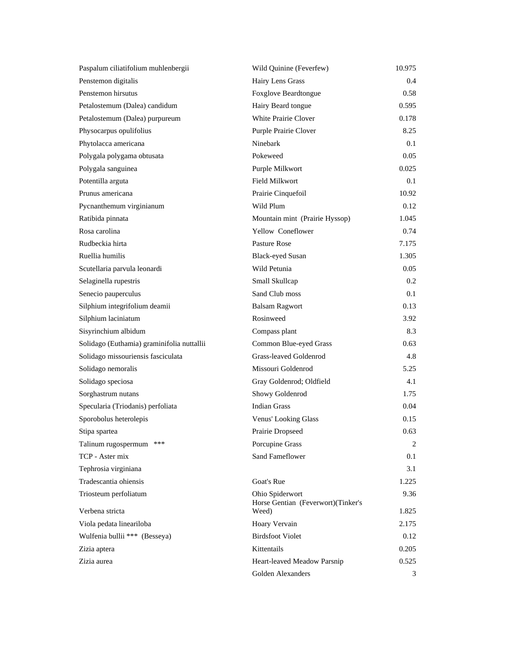| Paspalum ciliatifolium muhlenbergii        | Wild Quinine (Feverfew)                     | 10.975 |
|--------------------------------------------|---------------------------------------------|--------|
| Penstemon digitalis                        | Hairy Lens Grass                            | 0.4    |
| Penstemon hirsutus                         | Foxglove Beardtongue                        | 0.58   |
| Petalostemum (Dalea) candidum              | Hairy Beard tongue                          | 0.595  |
| Petalostemum (Dalea) purpureum             | White Prairie Clover                        | 0.178  |
| Physocarpus opulifolius                    | Purple Prairie Clover                       | 8.25   |
| Phytolacca americana                       | Ninebark                                    | 0.1    |
| Polygala polygama obtusata                 | Pokeweed                                    | 0.05   |
| Polygala sanguinea                         | Purple Milkwort                             | 0.025  |
| Potentilla arguta                          | Field Milkwort                              | 0.1    |
| Prunus americana                           | Prairie Cinquefoil                          | 10.92  |
| Pycnanthemum virginianum                   | Wild Plum                                   | 0.12   |
| Ratibida pinnata                           | Mountain mint (Prairie Hyssop)              | 1.045  |
| Rosa carolina                              | Yellow Coneflower                           | 0.74   |
| Rudbeckia hirta                            | Pasture Rose                                | 7.175  |
| Ruellia humilis                            | <b>Black-eyed Susan</b>                     | 1.305  |
| Scutellaria parvula leonardi               | Wild Petunia                                | 0.05   |
| Selaginella rupestris                      | Small Skullcap                              | 0.2    |
| Senecio pauperculus                        | Sand Club moss                              | 0.1    |
| Silphium integrifolium deamii              | <b>Balsam Ragwort</b>                       | 0.13   |
| Silphium laciniatum                        | Rosinweed                                   | 3.92   |
| Sisyrinchium albidum                       | Compass plant                               | 8.3    |
| Solidago (Euthamia) graminifolia nuttallii | Common Blue-eyed Grass                      | 0.63   |
| Solidago missouriensis fasciculata         | Grass-leaved Goldenrod                      | 4.8    |
| Solidago nemoralis                         | Missouri Goldenrod                          | 5.25   |
| Solidago speciosa                          | Gray Goldenrod; Oldfield                    | 4.1    |
| Sorghastrum nutans                         | Showy Goldenrod                             | 1.75   |
| Specularia (Triodanis) perfoliata          | <b>Indian Grass</b>                         | 0.04   |
| Sporobolus heterolepis                     | Venus' Looking Glass                        | 0.15   |
| Stipa spartea                              | Prairie Dropseed                            | 0.63   |
| Talinum rugospermum ***                    | Porcupine Grass                             | 2      |
| TCP - Aster mix                            | Sand Fameflower                             | 0.1    |
| Tephrosia virginiana                       |                                             | 3.1    |
| Tradescantia ohiensis                      | Goat's Rue                                  | 1.225  |
| Triosteum perfoliatum                      | Ohio Spiderwort                             | 9.36   |
| Verbena stricta                            | Horse Gentian (Feverwort)(Tinker's<br>Weed) | 1.825  |
| Viola pedata lineariloba                   | Hoary Vervain                               | 2.175  |
| Wulfenia bullii *** (Besseya)              | <b>Birdsfoot Violet</b>                     | 0.12   |
| Zizia aptera                               | Kittentails                                 | 0.205  |
| Zizia aurea                                | Heart-leaved Meadow Parsnip                 | 0.525  |
|                                            | Golden Alexanders                           | 3      |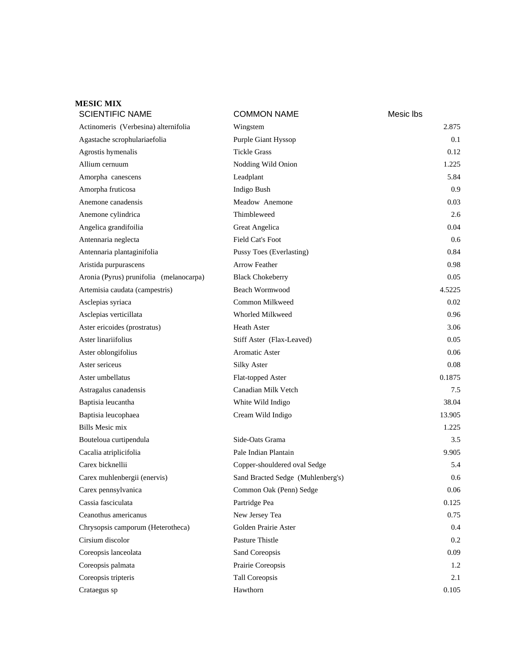| <b>MESIC MIX</b><br><b>SCIENTIFIC NAME</b> | <b>COMMON NAME</b>                | Mesic Ibs |
|--------------------------------------------|-----------------------------------|-----------|
| Actinomeris (Verbesina) alternifolia       | Wingstem                          | 2.875     |
| Agastache scrophulariaefolia               | Purple Giant Hyssop               | 0.1       |
| Agrostis hymenalis                         | <b>Tickle Grass</b>               | 0.12      |
| Allium cernuum                             | Nodding Wild Onion                | 1.225     |
| Amorpha canescens                          | Leadplant                         | 5.84      |
| Amorpha fruticosa                          | Indigo Bush                       | 0.9       |
| Anemone canadensis                         | Meadow Anemone                    | 0.03      |
| Anemone cylindrica                         | Thimbleweed                       | 2.6       |
| Angelica grandifoilia                      | Great Angelica                    | 0.04      |
| Antennaria neglecta                        | Field Cat's Foot                  | 0.6       |
| Antennaria plantaginifolia                 | Pussy Toes (Everlasting)          | 0.84      |
| Aristida purpurascens                      | <b>Arrow Feather</b>              | 0.98      |
| Aronia (Pyrus) prunifolia (melanocarpa)    | <b>Black Chokeberry</b>           | 0.05      |
| Artemisia caudata (campestris)             | <b>Beach Wormwood</b>             | 4.5225    |
| Asclepias syriaca                          | Common Milkweed                   | 0.02      |
| Asclepias verticillata                     | Whorled Milkweed                  | 0.96      |
| Aster ericoides (prostratus)               | <b>Heath Aster</b>                | 3.06      |
| Aster linariifolius                        | Stiff Aster (Flax-Leaved)         | 0.05      |
| Aster oblongifolius                        | <b>Aromatic Aster</b>             | 0.06      |
| Aster sericeus                             | <b>Silky Aster</b>                | 0.08      |
| Aster umbellatus                           | Flat-topped Aster                 | 0.1875    |
| Astragalus canadensis                      | Canadian Milk Vetch               | 7.5       |
| Baptisia leucantha                         | White Wild Indigo                 | 38.04     |
| Baptisia leucophaea                        | Cream Wild Indigo                 | 13.905    |
| <b>Bills Mesic mix</b>                     |                                   | 1.225     |
| Bouteloua curtipendula                     | Side-Oats Grama                   | 3.5       |
| Cacalia atriplicifolia                     | Pale Indian Plantain              | 9.905     |
| Carex bicknellii                           | Copper-shouldered oval Sedge      | 5.4       |
| Carex muhlenbergii (enervis)               | Sand Bracted Sedge (Muhlenberg's) | 0.6       |
| Carex pennsylvanica                        | Common Oak (Penn) Sedge           | $0.06\,$  |
| Cassia fasciculata                         | Partridge Pea                     | 0.125     |
| Ceanothus americanus                       | New Jersey Tea                    | 0.75      |
| Chrysopsis camporum (Heterotheca)          | Golden Prairie Aster              | 0.4       |
| Cirsium discolor                           | Pasture Thistle                   | 0.2       |
| Coreopsis lanceolata                       | Sand Coreopsis                    | 0.09      |
| Coreopsis palmata                          | Prairie Coreopsis                 | 1.2       |
| Coreopsis tripteris                        | <b>Tall Coreopsis</b>             | 2.1       |
| Crataegus sp                               | Hawthorn                          | 0.105     |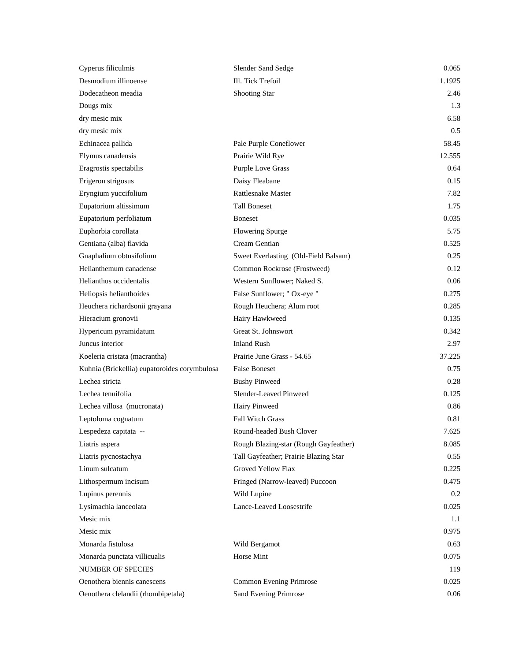| Cyperus filiculmis                           | Slender Sand Sedge                    | 0.065  |
|----------------------------------------------|---------------------------------------|--------|
| Desmodium illinoense                         | Ill. Tick Trefoil                     | 1.1925 |
| Dodecatheon meadia                           | Shooting Star                         | 2.46   |
| Dougs mix                                    |                                       | 1.3    |
| dry mesic mix                                |                                       | 6.58   |
| dry mesic mix                                |                                       | 0.5    |
| Echinacea pallida                            | Pale Purple Coneflower                | 58.45  |
| Elymus canadensis                            | Prairie Wild Rye                      | 12.555 |
| Eragrostis spectabilis                       | <b>Purple Love Grass</b>              | 0.64   |
| Erigeron strigosus                           | Daisy Fleabane                        | 0.15   |
| Eryngium yuccifolium                         | Rattlesnake Master                    | 7.82   |
| Eupatorium altissimum                        | <b>Tall Boneset</b>                   | 1.75   |
| Eupatorium perfoliatum                       | <b>Boneset</b>                        | 0.035  |
| Euphorbia corollata                          | Flowering Spurge                      | 5.75   |
| Gentiana (alba) flavida                      | Cream Gentian                         | 0.525  |
| Gnaphalium obtusifolium                      | Sweet Everlasting (Old-Field Balsam)  | 0.25   |
| Helianthemum canadense                       | Common Rockrose (Frostweed)           | 0.12   |
| Helianthus occidentalis                      | Western Sunflower; Naked S.           | 0.06   |
| Heliopsis helianthoides                      | False Sunflower; " Ox-eye "           | 0.275  |
| Heuchera richardsonii grayana                | Rough Heuchera; Alum root             | 0.285  |
| Hieracium gronovii                           | Hairy Hawkweed                        | 0.135  |
| Hypericum pyramidatum                        | Great St. Johnswort                   | 0.342  |
| Juncus interior                              | <b>Inland Rush</b>                    | 2.97   |
| Koeleria cristata (macrantha)                | Prairie June Grass - 54.65            | 37.225 |
| Kuhnia (Brickellia) eupatoroides corymbulosa | <b>False Boneset</b>                  | 0.75   |
| Lechea stricta                               | <b>Bushy Pinweed</b>                  | 0.28   |
| Lechea tenuifolia                            | Slender-Leaved Pinweed                | 0.125  |
| Lechea villosa (mucronata)                   | Hairy Pinweed                         | 0.86   |
| Leptoloma cognatum                           | <b>Fall Witch Grass</b>               | 0.81   |
| Lespedeza capitata --                        | Round-headed Bush Clover              | 7.625  |
| Liatris aspera                               | Rough Blazing-star (Rough Gayfeather) | 8.085  |
| Liatris pycnostachya                         | Tall Gayfeather; Prairie Blazing Star | 0.55   |
| Linum sulcatum                               | Groved Yellow Flax                    | 0.225  |
| Lithospermum incisum                         | Fringed (Narrow-leaved) Puccoon       | 0.475  |
| Lupinus perennis                             | Wild Lupine                           | 0.2    |
| Lysimachia lanceolata                        | Lance-Leaved Loosestrife              | 0.025  |
| Mesic mix                                    |                                       | 1.1    |
| Mesic mix                                    |                                       | 0.975  |
| Monarda fistulosa                            | Wild Bergamot                         | 0.63   |
| Monarda punctata villicualis                 | Horse Mint                            | 0.075  |
| NUMBER OF SPECIES                            |                                       | 119    |
| Oenothera biennis canescens                  | Common Evening Primrose               | 0.025  |
| Oenothera clelandii (rhombipetala)           | Sand Evening Primrose                 | 0.06   |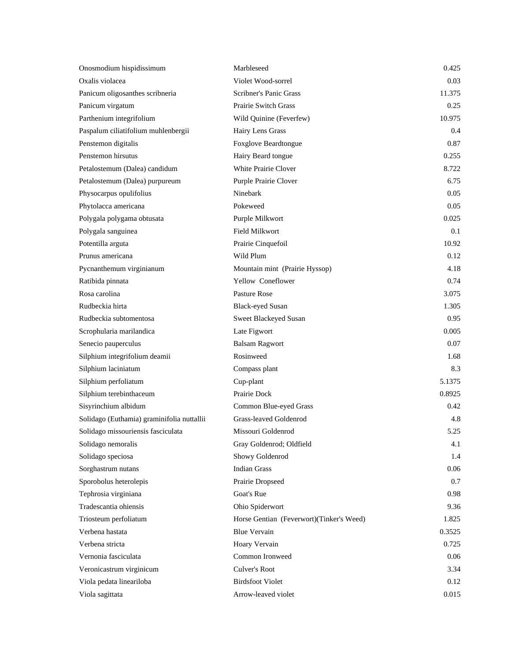| Onosmodium hispidissimum                   | Marbleseed                               | 0.425  |
|--------------------------------------------|------------------------------------------|--------|
| Oxalis violacea                            | Violet Wood-sorrel                       | 0.03   |
| Panicum oligosanthes scribneria            | Scribner's Panic Grass                   | 11.375 |
| Panicum virgatum                           | <b>Prairie Switch Grass</b>              | 0.25   |
| Parthenium integrifolium                   | Wild Quinine (Feverfew)                  | 10.975 |
| Paspalum ciliatifolium muhlenbergii        | Hairy Lens Grass                         | 0.4    |
| Penstemon digitalis                        | Foxglove Beardtongue                     | 0.87   |
| Penstemon hirsutus                         | Hairy Beard tongue                       | 0.255  |
| Petalostemum (Dalea) candidum              | White Prairie Clover                     | 8.722  |
| Petalostemum (Dalea) purpureum             | Purple Prairie Clover                    | 6.75   |
| Physocarpus opulifolius                    | Ninebark                                 | 0.05   |
| Phytolacca americana                       | Pokeweed                                 | 0.05   |
| Polygala polygama obtusata                 | Purple Milkwort                          | 0.025  |
| Polygala sanguinea                         | <b>Field Milkwort</b>                    | 0.1    |
| Potentilla arguta                          | Prairie Cinquefoil                       | 10.92  |
| Prunus americana                           | Wild Plum                                | 0.12   |
| Pycnanthemum virginianum                   | Mountain mint (Prairie Hyssop)           | 4.18   |
| Ratibida pinnata                           | Yellow Coneflower                        | 0.74   |
| Rosa carolina                              | Pasture Rose                             | 3.075  |
| Rudbeckia hirta                            | <b>Black-eyed Susan</b>                  | 1.305  |
| Rudbeckia subtomentosa                     | Sweet Blackeyed Susan                    | 0.95   |
| Scrophularia marilandica                   | Late Figwort                             | 0.005  |
| Senecio pauperculus                        | <b>Balsam Ragwort</b>                    | 0.07   |
| Silphium integrifolium deamii              | Rosinweed                                | 1.68   |
| Silphium laciniatum                        | Compass plant                            | 8.3    |
| Silphium perfoliatum                       | Cup-plant                                | 5.1375 |
| Silphium terebinthaceum                    | Prairie Dock                             | 0.8925 |
| Sisyrinchium albidum                       | Common Blue-eyed Grass                   | 0.42   |
| Solidago (Euthamia) graminifolia nuttallii | Grass-leaved Goldenrod                   | 4.8    |
| Solidago missouriensis fasciculata         | Missouri Goldenrod                       | 5.25   |
| Solidago nemoralis                         | Gray Goldenrod; Oldfield                 | 4.1    |
| Solidago speciosa                          | Showy Goldenrod                          | 1.4    |
| Sorghastrum nutans                         | <b>Indian Grass</b>                      | 0.06   |
| Sporobolus heterolepis                     | Prairie Dropseed                         | 0.7    |
| Tephrosia virginiana                       | Goat's Rue                               | 0.98   |
| Tradescantia ohiensis                      | Ohio Spiderwort                          | 9.36   |
| Triosteum perfoliatum                      | Horse Gentian (Feverwort)(Tinker's Weed) | 1.825  |
| Verbena hastata                            | <b>Blue Vervain</b>                      | 0.3525 |
| Verbena stricta                            | Hoary Vervain                            | 0.725  |
| Vernonia fasciculata                       | Common Ironweed                          | 0.06   |
| Veronicastrum virginicum                   | Culver's Root                            | 3.34   |
| Viola pedata lineariloba                   | <b>Birdsfoot Violet</b>                  | 0.12   |
| Viola sagittata                            | Arrow-leaved violet                      | 0.015  |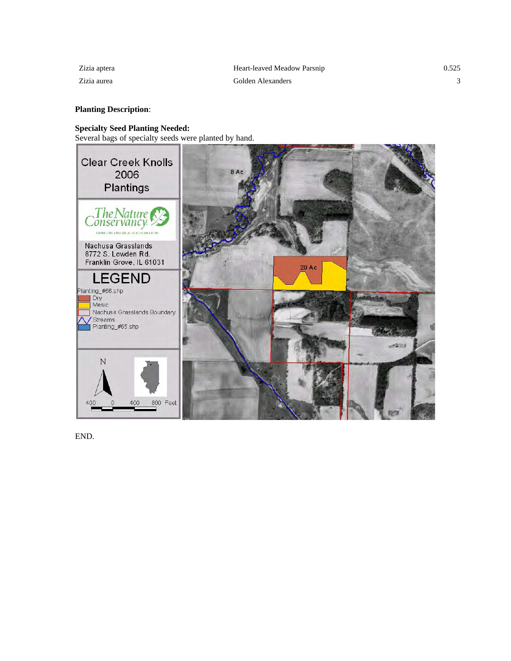## **Planting Description**:

### **Specialty Seed Planting Needed:**

Several bags of specialty seeds were planted by hand.



END.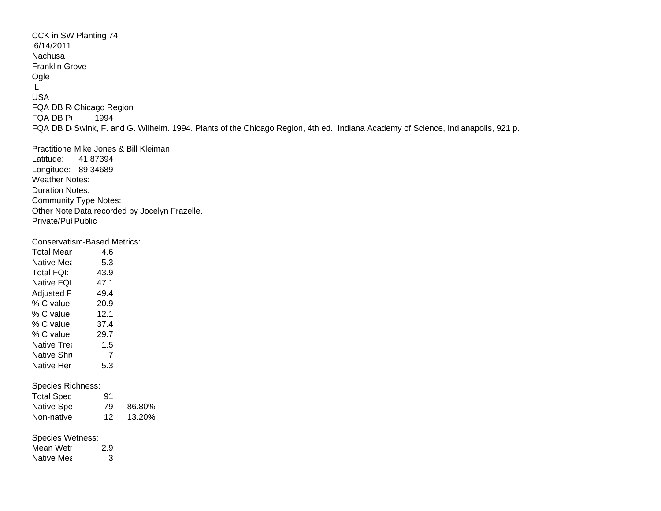CCK in SW Planting 74 6/14/2011NachusaFranklin Grove Ogle IL USAFQA DB R<sub>'</sub>Chicago Region FQA DB Pu 1994 FQA DB D<sub>'</sub>Swink, F. and G. Wilhelm. 1994. Plants of the Chicago Region, 4th ed., Indiana Academy of Science, Indianapolis, 921 p.

Practitione⊧Mike Jones & Bill Kleiman Latitude: 41.87394 Longitude: -89.34689 Weather Notes: Duration Notes: Community Type Notes: Other Note Data recorded by Jocelyn Frazelle. Private/Puł Public

Conservatism-Based Metrics:

| <b>Total Mean</b> | 4.6    |        |
|-------------------|--------|--------|
| Native Mea        | 5.3    |        |
| Total FQI:        | 43.9   |        |
| Native FQI        | 47.1   |        |
| Adjusted F        | 49.4   |        |
| % C value         | 20.9   |        |
| % C value         | 12.1   |        |
| % C value         | - 37.4 |        |
| % C value         | 29.7   |        |
| Native Tree       | 1.5    |        |
| Native Shri       | 7      |        |
| Native Herl       | 5.3    |        |
| Species Richness: |        |        |
| <b>Total Spec</b> | 91     |        |
| Native Spe        | 79 -   | 86.80% |
| Non-native        | 12     | 13.20% |
| Species Wetness:  |        |        |
| Mean Wetr         | 2.9    |        |
| Native Mea        | 3      |        |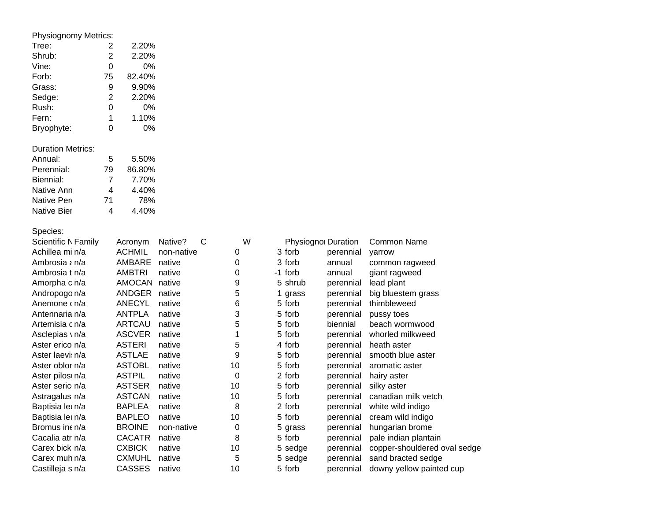| Physiognomy Metrics:       |                |               |                         |    |            |                     |                              |
|----------------------------|----------------|---------------|-------------------------|----|------------|---------------------|------------------------------|
| Tree:                      | 2              | 2.20%         |                         |    |            |                     |                              |
| Shrub:                     | $\overline{c}$ | 2.20%         |                         |    |            |                     |                              |
| Vine:                      | 0              | 0%            |                         |    |            |                     |                              |
| Forb:                      | 75             | 82.40%        |                         |    |            |                     |                              |
| Grass:                     | 9              | 9.90%         |                         |    |            |                     |                              |
| Sedge:                     | 2              | 2.20%         |                         |    |            |                     |                              |
| Rush:                      | 0              | 0%            |                         |    |            |                     |                              |
| Fern:                      | 1              | 1.10%         |                         |    |            |                     |                              |
| Bryophyte:                 | 0              | 0%            |                         |    |            |                     |                              |
| <b>Duration Metrics:</b>   |                |               |                         |    |            |                     |                              |
| Annual:                    | 5              | 5.50%         |                         |    |            |                     |                              |
| Perennial:                 | 79             | 86.80%        |                         |    |            |                     |                              |
| Biennial:                  | 7              | 7.70%         |                         |    |            |                     |                              |
| Native Ann                 | 4              | 4.40%         |                         |    |            |                     |                              |
| Native Per                 | 71             | 78%           |                         |    |            |                     |                              |
| <b>Native Bier</b>         | 4              | 4.40%         |                         |    |            |                     |                              |
| Species:                   |                |               |                         |    |            |                     |                              |
| <b>Scientific N Family</b> |                | Acronym       | $\mathsf{C}$<br>Native? | W  |            | Physiognor Duration | <b>Common Name</b>           |
| Achillea mi n/a            |                | <b>ACHMIL</b> | non-native              | 0  | 3 forb     | perennial           | yarrow                       |
| Ambrosia ε n/a             |                | AMBARE        | native                  | 0  | 3 forb     | annual              | common ragweed               |
| Ambrosia t n/a             |                | <b>AMBTRI</b> | native                  | 0  | -1 forb    | annual              | giant ragweed                |
| Amorpha c n/a              |                | AMOCAN        | native                  | 9  | 5 shrub    | perennial           | lead plant                   |
| Andropogo n/a              |                | ANDGER        | native                  | 5  | grass<br>1 | perennial           | big bluestem grass           |
| Anemone cn/a               |                | <b>ANECYL</b> | native                  | 6  | 5 forb     | perennial           | thimbleweed                  |
| Antennaria n/a             |                | <b>ANTPLA</b> | native                  | 3  | 5 forb     | perennial           | pussy toes                   |
| Artemisia c n/a            |                | <b>ARTCAU</b> | native                  | 5  | 5 forb     | biennial            | beach wormwood               |
| Asclepias \ n/a            |                | <b>ASCVER</b> | native                  | 1  | 5 forb     | perennial           | whorled milkweed             |
| Aster erico n/a            |                | <b>ASTERI</b> | native                  | 5  | 4 forb     | perennial           | heath aster                  |
| Aster laevi: n/a           |                | <b>ASTLAE</b> | native                  | 9  | 5 forb     | perennial           | smooth blue aster            |
| Aster oblor n/a            |                | <b>ASTOBL</b> | native                  | 10 | 5 forb     | perennial           | aromatic aster               |
| Aster pilos n/a            |                | <b>ASTPIL</b> | native                  | 0  | 2 forb     | perennial           | hairy aster                  |
| Aster seric n/a            |                | <b>ASTSER</b> | native                  | 10 | 5 forb     | perennial           | silky aster                  |
| Astragalus n/a             |                | <b>ASTCAN</b> | native                  | 10 | 5 forb     | perennial           | canadian milk vetch          |
| Baptisia let n/a           |                | <b>BAPLEA</b> | native                  | 8  | 2 forb     | perennial           | white wild indigo            |
| Baptisia let n/a           |                | <b>BAPLEO</b> | native                  | 10 | 5 forb     | perennial           | cream wild indigo            |
| Bromus ine n/a             |                | <b>BROINE</b> | non-native              | 0  | 5 grass    | perennial           | hungarian brome              |
| Cacalia atr n/a            |                | <b>CACATR</b> | native                  | 8  | 5 forb     | perennial           | pale indian plantain         |
| Carex bicki n/a            |                | <b>CXBICK</b> | native                  | 10 | 5 sedge    | perennial           | copper-shouldered oval sedge |
| Carex muh n/a              |                | <b>CXMUHL</b> | native                  | 5  | 5 sedge    | perennial           | sand bracted sedge           |
| Castilleja s n/a           |                | <b>CASSES</b> | native                  | 10 | 5 forb     | perennial           | downy yellow painted cup     |
|                            |                |               |                         |    |            |                     |                              |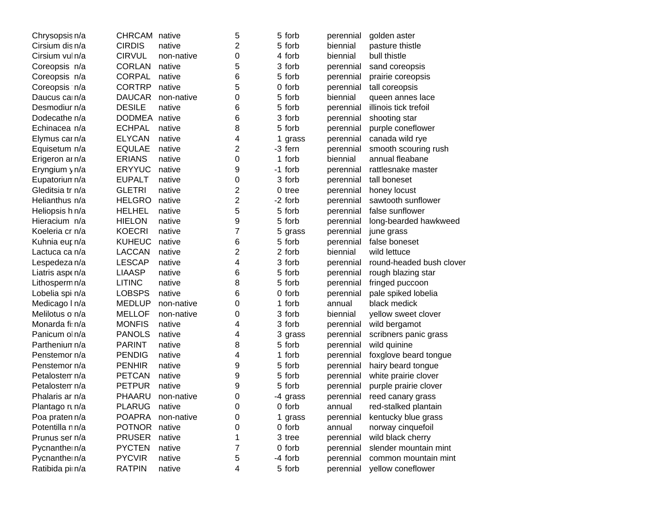|               |            | 5                              | 5 forb                | perennial | golden aster             |
|---------------|------------|--------------------------------|-----------------------|-----------|--------------------------|
| <b>CIRDIS</b> | native     | 2                              | 5 forb                | biennial  | pasture thistle          |
| <b>CIRVUL</b> | non-native | 0                              | 4 forb                | biennial  | bull thistle             |
| <b>CORLAN</b> | native     | 5                              | 3 forb                | perennial | sand coreopsis           |
| <b>CORPAL</b> | native     | 6                              | 5 forb                | perennial | prairie coreopsis        |
| <b>CORTRP</b> | native     | 5                              | 0 forb                | perennial | tall coreopsis           |
| <b>DAUCAR</b> | non-native | 0                              | 5 forb                | biennial  | queen annes lace         |
| <b>DESILE</b> | native     | 6                              | 5 forb                | perennial | illinois tick trefoil    |
|               |            | 6                              | 3 forb                | perennial | shooting star            |
| <b>ECHPAL</b> | native     | 8                              | 5 forb                | perennial | purple coneflower        |
| <b>ELYCAN</b> | native     | 4                              | $\mathbf{1}$<br>grass | perennial | canada wild rye          |
| <b>EQULAE</b> | native     | $\overline{c}$                 | -3 fern               | perennial | smooth scouring rush     |
| <b>ERIANS</b> | native     | 0                              | 1 forb                | biennial  | annual fleabane          |
| <b>ERYYUC</b> | native     | 9                              | -1 forb               | perennial | rattlesnake master       |
| <b>EUPALT</b> | native     | 0                              | 3 forb                | perennial | tall boneset             |
| <b>GLETRI</b> | native     | $\overline{2}$                 | 0 tree                | perennial | honey locust             |
| <b>HELGRO</b> | native     | $\overline{c}$                 | -2 forb               | perennial | sawtooth sunflower       |
| <b>HELHEL</b> | native     | 5                              | 5 forb                | perennial | false sunflower          |
| <b>HIELON</b> | native     | 9                              | 5 forb                | perennial | long-bearded hawkweed    |
| <b>KOECRI</b> | native     | $\overline{7}$                 |                       | perennial | june grass               |
| <b>KUHEUC</b> | native     | 6                              | 5 forb                | perennial | false boneset            |
| <b>LACCAN</b> | native     | $\overline{2}$                 | 2 forb                | biennial  | wild lettuce             |
| <b>LESCAP</b> | native     | 4                              | 3 forb                | perennial | round-headed bush clover |
| <b>LIAASP</b> | native     | 6                              | 5 forb                | perennial | rough blazing star       |
| <b>LITINC</b> | native     | 8                              | 5 forb                | perennial | fringed puccoon          |
| <b>LOBSPS</b> | native     | 6                              | 0 forb                | perennial | pale spiked lobelia      |
| <b>MEDLUP</b> | non-native | 0                              | 1 forb                | annual    | black medick             |
| <b>MELLOF</b> | non-native | 0                              | 3 forb                | biennial  | yellow sweet clover      |
| <b>MONFIS</b> | native     | 4                              | 3 forb                | perennial | wild bergamot            |
| <b>PANOLS</b> | native     | 4                              | 3 grass               | perennial | scribners panic grass    |
| <b>PARINT</b> | native     | 8                              | 5 forb                | perennial | wild quinine             |
| <b>PENDIG</b> | native     | 4                              | 1 forb                | perennial | foxglove beard tongue    |
| <b>PENHIR</b> | native     | 9                              | 5 forb                | perennial | hairy beard tongue       |
| <b>PETCAN</b> | native     | 9                              | 5 forb                | perennial | white prairie clover     |
| <b>PETPUR</b> | native     | 9                              | 5 forb                | perennial | purple prairie clover    |
| PHAARU        | non-native | 0                              | -4 grass              | perennial | reed canary grass        |
| <b>PLARUG</b> | native     | 0                              | 0 forb                | annual    | red-stalked plantain     |
| <b>POAPRA</b> | non-native | 0                              | 1 grass               | perennial | kentucky blue grass      |
| <b>POTNOR</b> | native     | 0                              | 0 forb                | annual    | norway cinquefoil        |
| <b>PRUSER</b> | native     | 1                              | 3 tree                | perennial | wild black cherry        |
| <b>PYCTEN</b> | native     | 7                              | 0 forb                | perennial | slender mountain mint    |
| <b>PYCVIR</b> | native     | 5                              | -4 forb               | perennial | common mountain mint     |
| <b>RATPIN</b> | native     | 4                              | 5 forb                | perennial | yellow coneflower        |
|               |            | CHRCAM native<br>DODMEA native |                       | 5 grass   |                          |